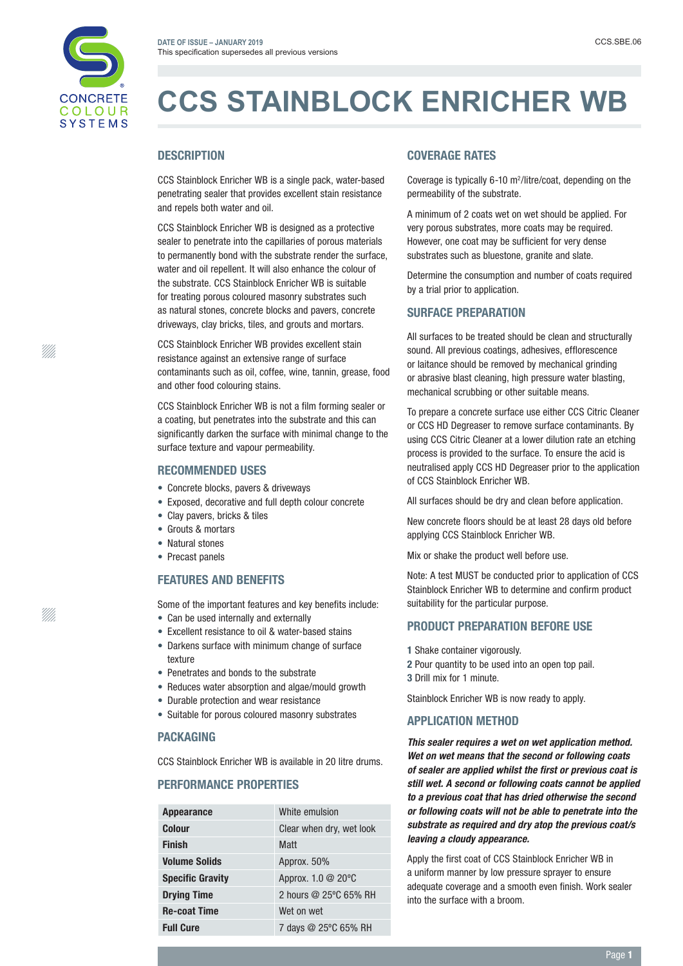

# **CCS STAINBLOCK ENRICHER WB**

## **DESCRIPTION**

CCS Stainblock Enricher WB is a single pack, water-based penetrating sealer that provides excellent stain resistance and repels both water and oil.

CCS Stainblock Enricher WB is designed as a protective sealer to penetrate into the capillaries of porous materials to permanently bond with the substrate render the surface, water and oil repellent. It will also enhance the colour of the substrate. CCS Stainblock Enricher WB is suitable for treating porous coloured masonry substrates such as natural stones, concrete blocks and pavers, concrete driveways, clay bricks, tiles, and grouts and mortars.

CCS Stainblock Enricher WB provides excellent stain resistance against an extensive range of surface contaminants such as oil, coffee, wine, tannin, grease, food and other food colouring stains.

CCS Stainblock Enricher WB is not a film forming sealer or a coating, but penetrates into the substrate and this can significantly darken the surface with minimal change to the surface texture and vapour permeability.

#### RECOMMENDED USES

- Concrete blocks, pavers & driveways
- Exposed, decorative and full depth colour concrete
- Clay pavers, bricks & tiles
- Grouts & mortars
- Natural stones
- Precast panels

### FEATURES AND BENEFITS

Some of the important features and key benefits include: • Can be used internally and externally

- 
- Excellent resistance to oil & water-based stains
- Darkens surface with minimum change of surface texture
- Penetrates and bonds to the substrate
- Reduces water absorption and algae/mould growth
- Durable protection and wear resistance
- Suitable for porous coloured masonry substrates

#### **PACKAGING**

CCS Stainblock Enricher WB is available in 20 litre drums.

## PERFORMANCE PROPERTIES

| <b>Appearance</b>       | White emulsion           |
|-------------------------|--------------------------|
| <b>Colour</b>           | Clear when dry, wet look |
| <b>Finish</b>           | <b>Matt</b>              |
| <b>Volume Solids</b>    | Approx. 50%              |
| <b>Specific Gravity</b> | Approx. 1.0 @ 20°C       |
| <b>Drying Time</b>      | 2 hours @ 25°C 65% RH    |
| <b>Re-coat Time</b>     | Wet on wet               |
| <b>Full Cure</b>        | 7 days @ 25°C 65% RH     |

#### COVERAGE RATES

Coverage is typically  $6-10$  m<sup>2</sup>/litre/coat, depending on the permeability of the substrate.

A minimum of 2 coats wet on wet should be applied. For very porous substrates, more coats may be required. However, one coat may be sufficient for very dense substrates such as bluestone, granite and slate.

Determine the consumption and number of coats required by a trial prior to application.

#### SURFACE PREPARATION

All surfaces to be treated should be clean and structurally sound. All previous coatings, adhesives, efflorescence or laitance should be removed by mechanical grinding or abrasive blast cleaning, high pressure water blasting, mechanical scrubbing or other suitable means.

To prepare a concrete surface use either CCS Citric Cleaner or CCS HD Degreaser to remove surface contaminants. By using CCS Citric Cleaner at a lower dilution rate an etching process is provided to the surface. To ensure the acid is neutralised apply CCS HD Degreaser prior to the application of CCS Stainblock Enricher WB.

All surfaces should be dry and clean before application.

New concrete floors should be at least 28 days old before applying CCS Stainblock Enricher WB.

Mix or shake the product well before use.

Note: A test MUST be conducted prior to application of CCS Stainblock Enricher WB to determine and confirm product suitability for the particular purpose.

#### PRODUCT PREPARATION BEFORE USE

- 1 Shake container vigorously.
- 2 Pour quantity to be used into an open top pail.
- 3 Drill mix for 1 minute.

Stainblock Enricher WB is now ready to apply.

#### APPLICATION METHOD

*This sealer requires a wet on wet application method. Wet on wet means that the second or following coats of sealer are applied whilst the first or previous coat is still wet. A second or following coats cannot be applied to a previous coat that has dried otherwise the second or following coats will not be able to penetrate into the substrate as required and dry atop the previous coat/s leaving a cloudy appearance.* 

Apply the first coat of CCS Stainblock Enricher WB in a uniform manner by low pressure sprayer to ensure adequate coverage and a smooth even finish. Work sealer into the surface with a broom.